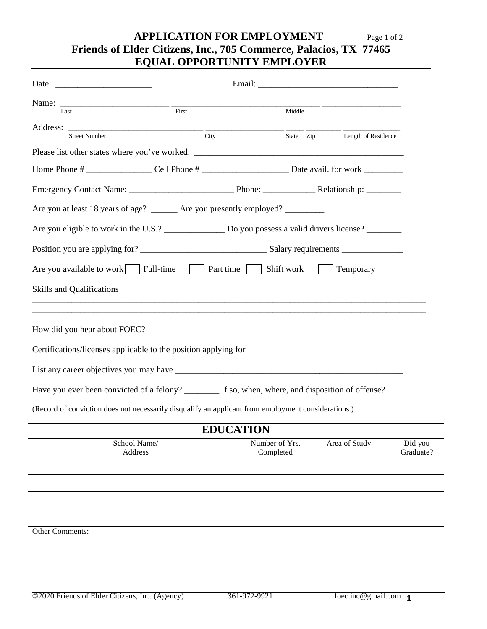## **APPLICATION FOR EMPLOYMENT** Page 1 of 2 **Friends of Elder Citizens, Inc., 705 Commerce, Palacios, TX 77465 EQUAL OPPORTUNITY EMPLOYER**

|                                  |                                                                                                          |        | Email: The contract of the contract of the contract of the contract of the contract of the contract of the contract of the contract of the contract of the contract of the contract of the contract of the contract of the con |
|----------------------------------|----------------------------------------------------------------------------------------------------------|--------|--------------------------------------------------------------------------------------------------------------------------------------------------------------------------------------------------------------------------------|
| Last                             | First                                                                                                    | Middle |                                                                                                                                                                                                                                |
|                                  | Address: $\frac{1}{\text{City}}$                                                                         |        | $\frac{1}{\text{State}}$ $\frac{1}{\text{Zip}}$ Length of Residence                                                                                                                                                            |
|                                  |                                                                                                          |        |                                                                                                                                                                                                                                |
|                                  |                                                                                                          |        |                                                                                                                                                                                                                                |
|                                  |                                                                                                          |        |                                                                                                                                                                                                                                |
|                                  | Are you at least 18 years of age? ______ Are you presently employed? ________                            |        |                                                                                                                                                                                                                                |
|                                  | Are you eligible to work in the U.S.? Do you possess a valid drivers license?                            |        |                                                                                                                                                                                                                                |
|                                  |                                                                                                          |        |                                                                                                                                                                                                                                |
|                                  | Are you available to work   Full-time $\Box$ Part time $\Box$ Shift work                                 |        | Temporary                                                                                                                                                                                                                      |
| <b>Skills and Qualifications</b> |                                                                                                          |        |                                                                                                                                                                                                                                |
|                                  |                                                                                                          |        |                                                                                                                                                                                                                                |
|                                  |                                                                                                          |        |                                                                                                                                                                                                                                |
|                                  | How did you hear about FOEC?                                                                             |        |                                                                                                                                                                                                                                |
|                                  |                                                                                                          |        |                                                                                                                                                                                                                                |
|                                  |                                                                                                          |        |                                                                                                                                                                                                                                |
|                                  | Have you ever been convicted of a felony? <u>_______</u> If so, when, where, and disposition of offense? |        |                                                                                                                                                                                                                                |

| <b>EDUCATION</b> |                |               |                      |  |
|------------------|----------------|---------------|----------------------|--|
| School Name/     | Number of Yrs. | Area of Study | Did you<br>Graduate? |  |
| Address          | Completed      |               |                      |  |
|                  |                |               |                      |  |
|                  |                |               |                      |  |
|                  |                |               |                      |  |
|                  |                |               |                      |  |
|                  |                |               |                      |  |
|                  |                |               |                      |  |
|                  |                |               |                      |  |

Other Comments: